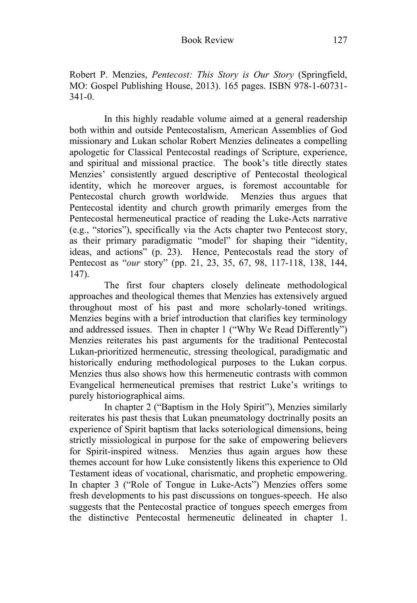Robert P. Menzies, *Pentecost: This Story is Our Story* (Springfield, MO: Gospel Publishing House, 2013). 165 pages. ISBN 978-1-60731- 341-0.

In this highly readable volume aimed at a general readership both within and outside Pentecostalism, American Assemblies of God missionary and Lukan scholar Robert Menzies delineates a compelling apologetic for Classical Pentecostal readings of Scripture, experience, and spiritual and missional practice. The book's title directly states Menzies' consistently argued descriptive of Pentecostal theological identity, which he moreover argues, is foremost accountable for Pentecostal church growth worldwide. Menzies thus argues that Pentecostal identity and church growth primarily emerges from the Pentecostal hermeneutical practice of reading the Luke-Acts narrative (e.g., "stories"), specifically via the Acts chapter two Pentecost story, as their primary paradigmatic "model" for shaping their "identity, ideas, and actions" (p. 23). Hence, Pentecostals read the story of Pentecost as "*our* story" (pp. 21, 23, 35, 67, 98, 117-118, 138, 144, 147).

The first four chapters closely delineate methodological approaches and theological themes that Menzies has extensively argued throughout most of his past and more scholarly-toned writings. Menzies begins with a brief introduction that clarifies key terminology and addressed issues. Then in chapter 1 ("Why We Read Differently") Menzies reiterates his past arguments for the traditional Pentecostal Lukan-prioritized hermeneutic, stressing theological, paradigmatic and historically enduring methodological purposes to the Lukan corpus. Menzies thus also shows how this hermeneutic contrasts with common Evangelical hermeneutical premises that restrict Luke's writings to purely historiographical aims.

In chapter 2 ("Baptism in the Holy Spirit"), Menzies similarly reiterates his past thesis that Lukan pneumatology doctrinally posits an experience of Spirit baptism that lacks soteriological dimensions, being strictly missiological in purpose for the sake of empowering believers for Spirit-inspired witness. Menzies thus again argues how these themes account for how Luke consistently likens this experience to Old Testament ideas of vocational, charismatic, and prophetic empowering. In chapter 3 ("Role of Tongue in Luke-Acts") Menzies offers some fresh developments to his past discussions on tongues-speech. He also suggests that the Pentecostal practice of tongues speech emerges from the distinctive Pentecostal hermeneutic delineated in chapter 1.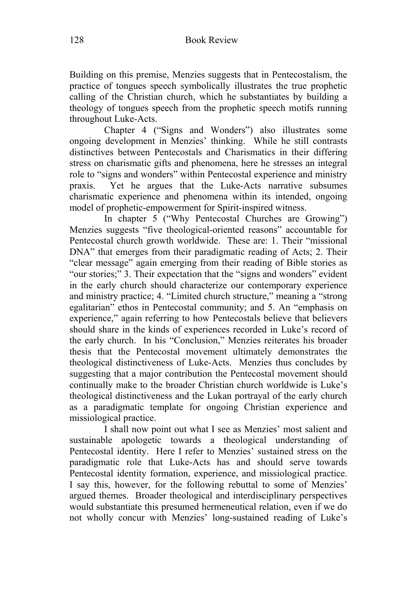Building on this premise, Menzies suggests that in Pentecostalism, the practice of tongues speech symbolically illustrates the true prophetic calling of the Christian church, which he substantiates by building a theology of tongues speech from the prophetic speech motifs running throughout Luke-Acts.

Chapter 4 ("Signs and Wonders") also illustrates some ongoing development in Menzies' thinking. While he still contrasts distinctives between Pentecostals and Charismatics in their differing stress on charismatic gifts and phenomena, here he stresses an integral role to "signs and wonders" within Pentecostal experience and ministry praxis. Yet he argues that the Luke-Acts narrative subsumes charismatic experience and phenomena within its intended, ongoing model of prophetic-empowerment for Spirit-inspired witness.

In chapter 5 ("Why Pentecostal Churches are Growing") Menzies suggests "five theological-oriented reasons" accountable for Pentecostal church growth worldwide. These are: 1. Their "missional DNA" that emerges from their paradigmatic reading of Acts; 2. Their "clear message" again emerging from their reading of Bible stories as "our stories;" 3. Their expectation that the "signs and wonders" evident in the early church should characterize our contemporary experience and ministry practice; 4. "Limited church structure," meaning a "strong egalitarian" ethos in Pentecostal community; and 5. An "emphasis on experience," again referring to how Pentecostals believe that believers should share in the kinds of experiences recorded in Luke's record of the early church. In his "Conclusion," Menzies reiterates his broader thesis that the Pentecostal movement ultimately demonstrates the theological distinctiveness of Luke-Acts. Menzies thus concludes by suggesting that a major contribution the Pentecostal movement should continually make to the broader Christian church worldwide is Luke's theological distinctiveness and the Lukan portrayal of the early church as a paradigmatic template for ongoing Christian experience and missiological practice.

I shall now point out what I see as Menzies' most salient and sustainable apologetic towards a theological understanding of Pentecostal identity. Here I refer to Menzies' sustained stress on the paradigmatic role that Luke-Acts has and should serve towards Pentecostal identity formation, experience, and missiological practice. I say this, however, for the following rebuttal to some of Menzies' argued themes. Broader theological and interdisciplinary perspectives would substantiate this presumed hermeneutical relation, even if we do not wholly concur with Menzies' long-sustained reading of Luke's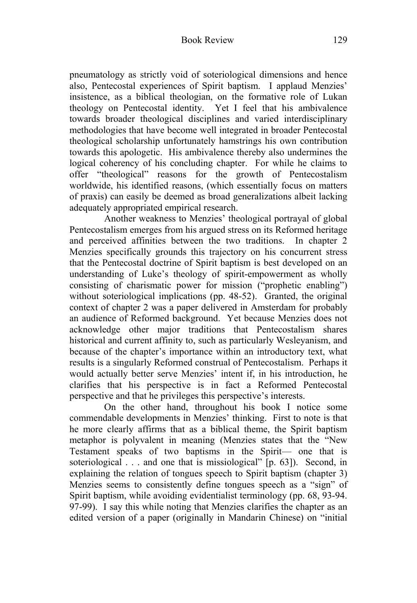## Book Review 129

pneumatology as strictly void of soteriological dimensions and hence also, Pentecostal experiences of Spirit baptism. I applaud Menzies' insistence, as a biblical theologian, on the formative role of Lukan theology on Pentecostal identity. Yet I feel that his ambivalence towards broader theological disciplines and varied interdisciplinary methodologies that have become well integrated in broader Pentecostal theological scholarship unfortunately hamstrings his own contribution towards this apologetic. His ambivalence thereby also undermines the logical coherency of his concluding chapter. For while he claims to offer "theological" reasons for the growth of Pentecostalism worldwide, his identified reasons, (which essentially focus on matters of praxis) can easily be deemed as broad generalizations albeit lacking adequately appropriated empirical research.

Another weakness to Menzies' theological portrayal of global Pentecostalism emerges from his argued stress on its Reformed heritage and perceived affinities between the two traditions. In chapter 2 Menzies specifically grounds this trajectory on his concurrent stress that the Pentecostal doctrine of Spirit baptism is best developed on an understanding of Luke's theology of spirit-empowerment as wholly consisting of charismatic power for mission ("prophetic enabling") without soteriological implications (pp. 48-52). Granted, the original context of chapter 2 was a paper delivered in Amsterdam for probably an audience of Reformed background. Yet because Menzies does not acknowledge other major traditions that Pentecostalism shares historical and current affinity to, such as particularly Wesleyanism, and because of the chapter's importance within an introductory text, what results is a singularly Reformed construal of Pentecostalism. Perhaps it would actually better serve Menzies' intent if, in his introduction, he clarifies that his perspective is in fact a Reformed Pentecostal perspective and that he privileges this perspective's interests.

On the other hand, throughout his book I notice some commendable developments in Menzies' thinking. First to note is that he more clearly affirms that as a biblical theme, the Spirit baptism metaphor is polyvalent in meaning (Menzies states that the "New Testament speaks of two baptisms in the Spirit— one that is soteriological . . . and one that is missiological" [p. 63]). Second, in explaining the relation of tongues speech to Spirit baptism (chapter 3) Menzies seems to consistently define tongues speech as a "sign" of Spirit baptism, while avoiding evidentialist terminology (pp. 68, 93-94. 97-99). I say this while noting that Menzies clarifies the chapter as an edited version of a paper (originally in Mandarin Chinese) on "initial